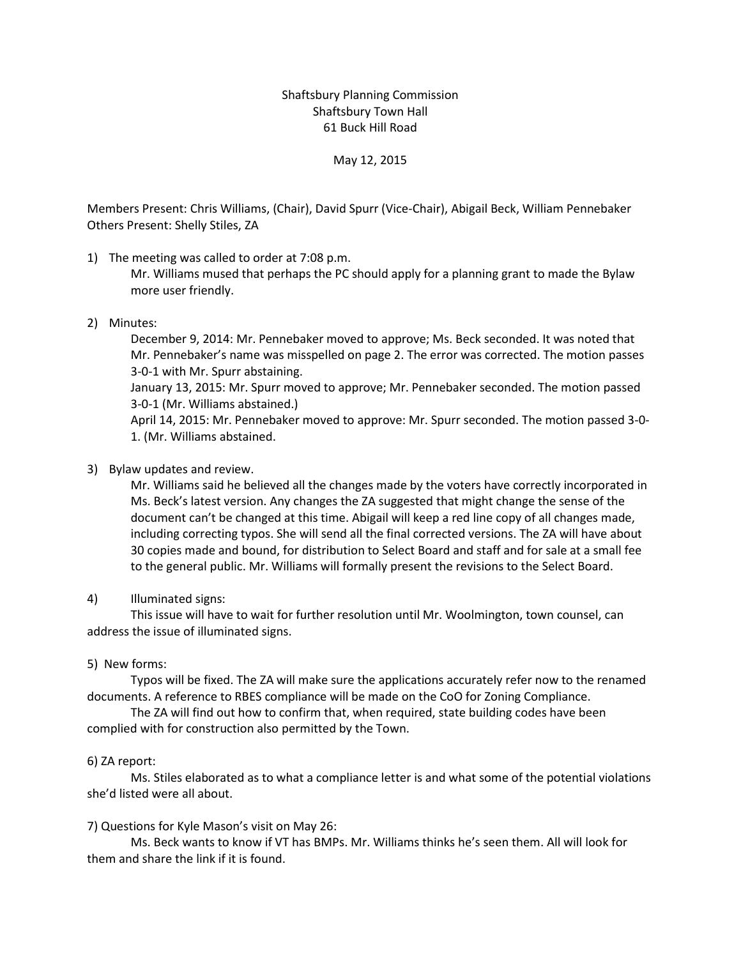## Shaftsbury Planning Commission Shaftsbury Town Hall 61 Buck Hill Road

### May 12, 2015

Members Present: Chris Williams, (Chair), David Spurr (Vice-Chair), Abigail Beck, William Pennebaker Others Present: Shelly Stiles, ZA

1) The meeting was called to order at 7:08 p.m.

Mr. Williams mused that perhaps the PC should apply for a planning grant to made the Bylaw more user friendly.

### 2) Minutes:

December 9, 2014: Mr. Pennebaker moved to approve; Ms. Beck seconded. It was noted that Mr. Pennebaker's name was misspelled on page 2. The error was corrected. The motion passes 3-0-1 with Mr. Spurr abstaining.

January 13, 2015: Mr. Spurr moved to approve; Mr. Pennebaker seconded. The motion passed 3-0-1 (Mr. Williams abstained.)

April 14, 2015: Mr. Pennebaker moved to approve: Mr. Spurr seconded. The motion passed 3-0- 1. (Mr. Williams abstained.

### 3) Bylaw updates and review.

Mr. Williams said he believed all the changes made by the voters have correctly incorporated in Ms. Beck's latest version. Any changes the ZA suggested that might change the sense of the document can't be changed at this time. Abigail will keep a red line copy of all changes made, including correcting typos. She will send all the final corrected versions. The ZA will have about 30 copies made and bound, for distribution to Select Board and staff and for sale at a small fee to the general public. Mr. Williams will formally present the revisions to the Select Board.

## 4) Illuminated signs:

This issue will have to wait for further resolution until Mr. Woolmington, town counsel, can address the issue of illuminated signs.

### 5) New forms:

Typos will be fixed. The ZA will make sure the applications accurately refer now to the renamed documents. A reference to RBES compliance will be made on the CoO for Zoning Compliance.

The ZA will find out how to confirm that, when required, state building codes have been complied with for construction also permitted by the Town.

### 6) ZA report:

Ms. Stiles elaborated as to what a compliance letter is and what some of the potential violations she'd listed were all about.

# 7) Questions for Kyle Mason's visit on May 26:

Ms. Beck wants to know if VT has BMPs. Mr. Williams thinks he's seen them. All will look for them and share the link if it is found.